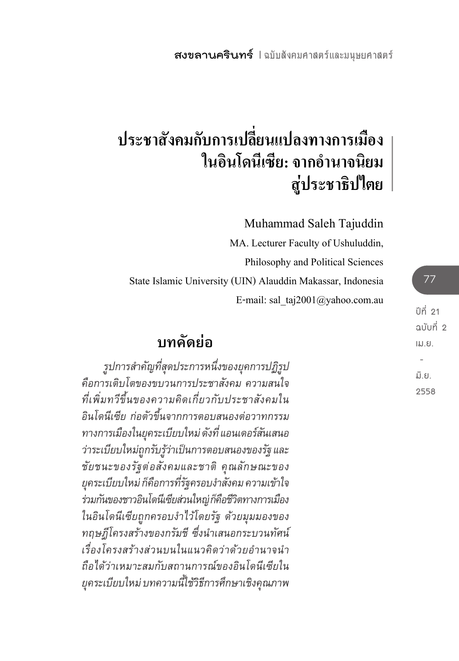**สงขลานครินทร์**|ฉบับสังคมศาสตร์และมนุษยศาสตร์

# **ประชาสังคมกับการเปลี่ยนแปลงทางการเมือง ในอินโดนีเซีย: จากอ�ำนาจนิยม สู่ประชาธิปไตย**

Muhammad Saleh Tajuddin

MA. Lecturer Faculty of Ushuluddin, Philosophy and Political Sciences State Islamic University (UIN) Alauddin Makassar, Indonesia E-mail: sal\_taj2001@yahoo.com.au

# **บทคัดย่อ**

*รูปการส�ำคัญที่สุดประการหนึ่งของยุคการปฏิรูป คือการเติบโตของขบวนการประชาสังคม ความสนใจ ที่เพิ่มทวีขึ้นของความคิดเกี่ยวกับประชาสังคมใน อินโดนีเซีย ก่อตัวขึ้นจากการตอบสนองต่อวาทกรรม ทางการเมืองในยุคระเบียบใหม่ ดังที่ แอนเดอร์สันเสนอ ว่าระเบียบใหม่ถูกรับรู้ว่าเป็นการตอบสนองของรัฐ และ ชัยชนะของรัฐต่อสังคมและชาติ คุณลักษณะของ ยุคระเบียบใหม่ ก็คือการที่รัฐครอบง�ำสังคม ความเข้าใจ ร่วมกันของชาวอินโดนีเซียส่วนใหญ่ ก็คือชีวิตทางการเมือง ในอินโดนีเซียถูกครอบง�ำไว้โดยรัฐ ด้วยมุมมองของ ทฤษฎีโครงสร้างของกรัมชี ซึ่งน�ำเสนอกระบวนทัศน์ เรื่องโครงสร้างส่วนบนในแนวคิดว่าด้วยอ�ำนาจน�ำ ถือได้ว่าเหมาะสมกับสถานการณ์ของอินโดนีเซียใน ยุคระเบียบใหม่ บทความนี้ใช้วิธีการศึกษาเชิงคุณภาพ*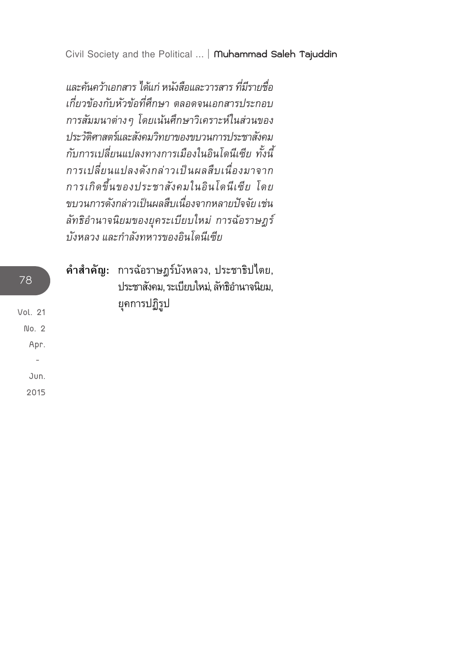*และค้นคว้าเอกสาร ได้แก่ หนังสือและวารสาร ที่มีรายชื่อ เกี่ยวข้องกับหัวข้อที่ศึกษา ตลอดจนเอกสารประกอบ การสัมมนาต่างๆ โดยเน้นศึกษาวิเคราะห์ในส่วนของ ประวัติศาสตร์และสังคมวิทยาของขบวนการประชาสังคม กับการเปลี่ยนแปลงทางการเมืองในอินโดนีเซีย ทั้งนี้ การเปลี่ยนแปลงดังกล่าวเป็นผลสืบเนื่องมาจาก การเกิดขึ้นของประชาสังคมในอินโดนีเซีย โดย ขบวนการดังกล่าวเป็นผลสืบเนื่องจากหลายปัจจัย เช่น ลัทธิอ�ำนาจนิยมของยุคระเบียบใหม่ การฉ้อราษฎร์ บังหลวง และก�ำลังทหารของอินโดนีเซีย*

**ค�ำส�ำคัญ:** การฉ้อราษฎร์บังหลวง, ประชาธิปไตย, ประชาสังคม, ระเบียบใหม่, ลัทธิอำนาจนิยม, ยุคการปฏิรูป

**Vol. 21 No. 2 Apr. - Jun. 2015**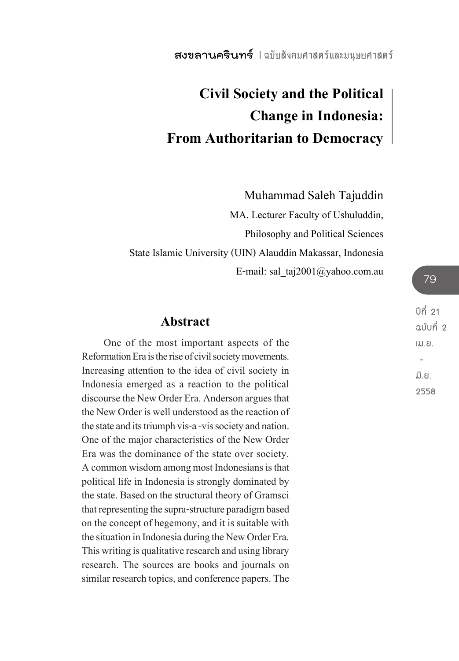**สงขลานครินทร์**|ฉบับสังคมศาสตร์และมนุษยศาสตร์

# **Civil Society and the Political Change in Indonesia: From Authoritarian to Democracy**

Muhammad Saleh Tajuddin

MA. Lecturer Faculty of Ushuluddin, Philosophy and Political Sciences State Islamic University (UIN) Alauddin Makassar, Indonesia E-mail: sal\_taj2001@yahoo.com.au

# **Abstract**

One of the most important aspects of the Reformation Era is the rise of civil society movements. Increasing attention to the idea of civil society in Indonesia emerged as a reaction to the political discourse the New Order Era. Anderson argues that the New Order is well understood as the reaction of the state and its triumph vis-a -vis society and nation. One of the major characteristics of the New Order Era was the dominance of the state over society. A common wisdom among most Indonesians is that political life in Indonesia is strongly dominated by the state. Based on the structural theory of Gramsci that representing the supra-structure paradigm based on the concept of hegemony, and it is suitable with the situation in Indonesia during the New Order Era. This writing is qualitative research and using library research. The sources are books and journals on similar research topics, and conference papers. The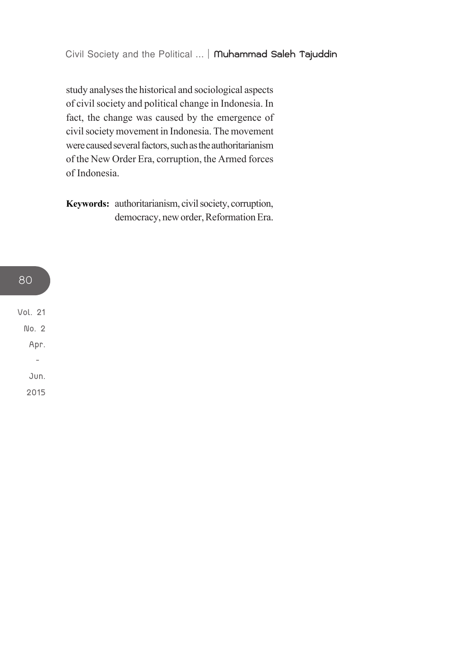study analyses the historical and sociological aspects of civil society and political change in Indonesia. In fact, the change was caused by the emergence of civil society movement in Indonesia. The movement were caused several factors, such as the authoritarianism of the New Order Era, corruption, the Armed forces of Indonesia.

**Keywords:** authoritarianism, civil society, corruption, democracy, new order, Reformation Era.

80 **Vol. 21 No. 2 Apr. - Jun. 2015**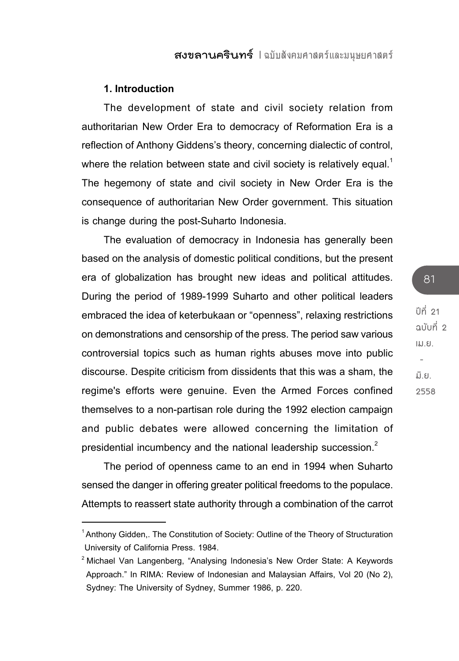# **1. Introduction**

The development of state and civil society relation from authoritarian New Order Era to democracy of Reformation Era is a reflection of Anthony Giddens's theory, concerning dialectic of control, where the relation between state and civil society is relatively equal.<sup>1</sup> The hegemony of state and civil society in New Order Era is the consequence of authoritarian New Order government. This situation is change during the post-Suharto Indonesia.

The evaluation of democracy in Indonesia has generally been based on the analysis of domestic political conditions, but the present era of globalization has brought new ideas and political attitudes. During the period of 1989-1999 Suharto and other political leaders embraced the idea of keterbukaan or "openness", relaxing restrictions on demonstrations and censorship of the press. The period saw various controversial topics such as human rights abuses move into public discourse. Despite criticism from dissidents that this was a sham, the regime's efforts were genuine. Even the Armed Forces confined themselves to a non-partisan role during the 1992 election campaign and public debates were allowed concerning the limitation of presidential incumbency and the national leadership succession.<sup>2</sup>

The period of openness came to an end in 1994 when Suharto sensed the danger in offering greater political freedoms to the populace. Attempts to reassert state authority through a combination of the carrot **ปีที่ 21 ฉบับที่ 2**

81

 **- มิ.ย. 2558**

**เม.ย.**

<sup>&</sup>lt;sup>1</sup> Anthony Gidden,. The Constitution of Society: Outline of the Theory of Structuration University of California Press. 1984.

 $2$  Michael Van Langenberg, "Analysing Indonesia's New Order State: A Keywords Approach." In RIMA: Review of Indonesian and Malaysian Affairs, Vol 20 (No 2), Sydney: The University of Sydney, Summer 1986, p. 220.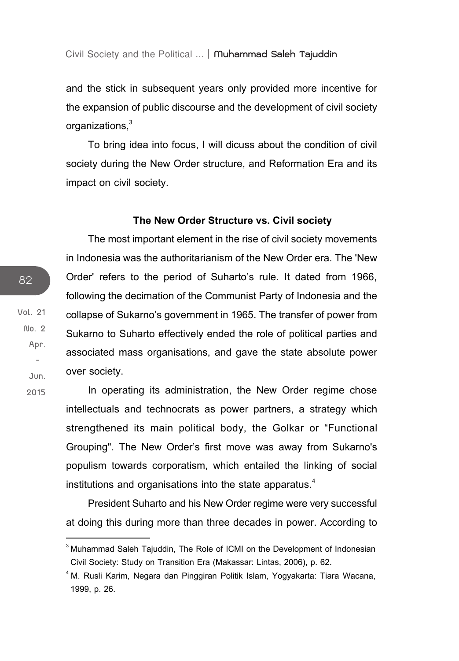and the stick in subsequent years only provided more incentive for the expansion of public discourse and the development of civil society organizations.<sup>3</sup>

To bring idea into focus, I will dicuss about the condition of civil society during the New Order structure, and Reformation Era and its impact on civil society.

#### **The New Order Structure vs. Civil society**

The most important element in the rise of civil society movements in Indonesia was the authoritarianism of the New Order era. The 'New Order' refers to the period of Suharto's rule. It dated from 1966, following the decimation of the Communist Party of Indonesia and the collapse of Sukarno's government in 1965. The transfer of power from Sukarno to Suharto effectively ended the role of political parties and associated mass organisations, and gave the state absolute power over society.

In operating its administration, the New Order regime chose intellectuals and technocrats as power partners, a strategy which strengthened its main political body, the Golkar or "Functional Grouping". The New Order's first move was away from Sukarno's populism towards corporatism, which entailed the linking of social institutions and organisations into the state apparatus. $4$ 

President Suharto and his New Order regime were very successful at doing this during more than three decades in power. According to

<sup>&</sup>lt;sup>3</sup> Muhammad Saleh Tajuddin, The Role of ICMI on the Development of Indonesian Civil Society: Study on Transition Era (Makassar: Lintas, 2006), p. 62.

<sup>4</sup> M. Rusli Karim, Negara dan Pinggiran Politik Islam, Yogyakarta: Tiara Wacana, 1999, p. 26.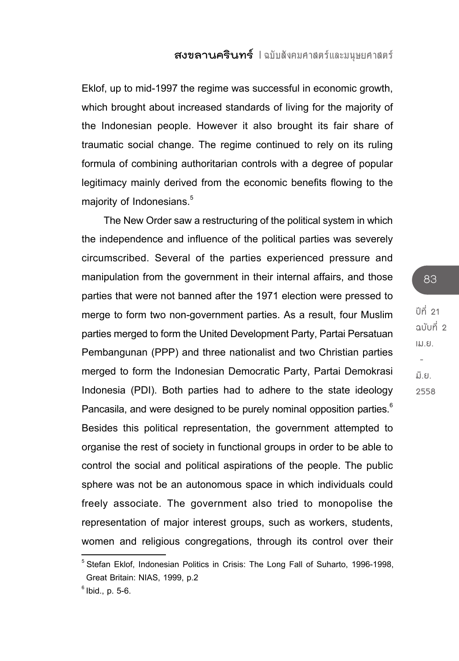Eklof, up to mid-1997 the regime was successful in economic growth, which brought about increased standards of living for the majority of the Indonesian people. However it also brought its fair share of traumatic social change. The regime continued to rely on its ruling formula of combining authoritarian controls with a degree of popular legitimacy mainly derived from the economic benefits flowing to the majority of Indonesians. $^{\mathrm{5}}$ 

The New Order saw a restructuring of the political system in which the independence and influence of the political parties was severely circumscribed. Several of the parties experienced pressure and manipulation from the government in their internal affairs, and those parties that were not banned after the 1971 election were pressed to merge to form two non-government parties. As a result, four Muslim parties merged to form the United Development Party, Partai Persatuan Pembangunan (PPP) and three nationalist and two Christian parties merged to form the Indonesian Democratic Party, Partai Demokrasi Indonesia (PDI). Both parties had to adhere to the state ideology Pancasila, and were designed to be purely nominal opposition parties.<sup>6</sup> Besides this political representation, the government attempted to organise the rest of society in functional groups in order to be able to control the social and political aspirations of the people. The public sphere was not be an autonomous space in which individuals could freely associate. The government also tried to monopolise the representation of major interest groups, such as workers, students, women and religious congregations, through its control over their

83 **ปีที่ 21 ฉบับที่ 2**

 **- มิ.ย. 2558**

**เม.ย.**

<sup>&</sup>lt;sup>5</sup> Stefan Eklof, Indonesian Politics in Crisis: The Long Fall of Suharto, 1996-1998 Great Britain: NIAS, 1999, p.2

 $6$  Ibid., p. 5-6.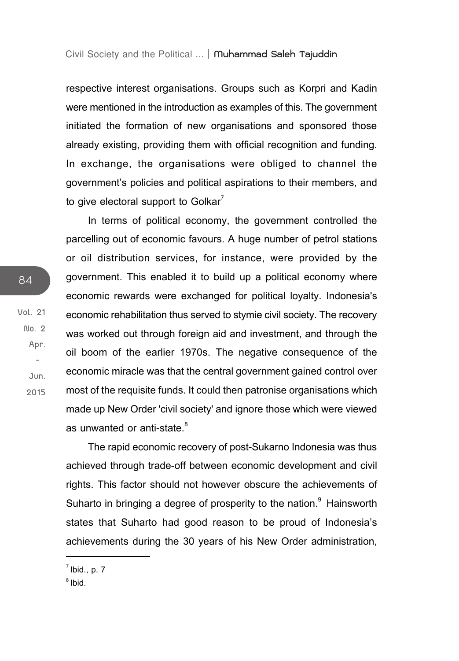respective interest organisations. Groups such as Korpri and Kadin were mentioned in the introduction as examples of this. The government initiated the formation of new organisations and sponsored those already existing, providing them with official recognition and funding. In exchange, the organisations were obliged to channel the government's policies and political aspirations to their members, and to give electoral support to Golkar<sup>7</sup>

In terms of political economy, the government controlled the parcelling out of economic favours. A huge number of petrol stations or oil distribution services, for instance, were provided by the government. This enabled it to build up a political economy where economic rewards were exchanged for political loyalty. Indonesia's economic rehabilitation thus served to stymie civil society. The recovery was worked out through foreign aid and investment, and through the oil boom of the earlier 1970s. The negative consequence of the economic miracle was that the central government gained control over most of the requisite funds. It could then patronise organisations which made up New Order 'civil society' and ignore those which were viewed as unwanted or anti-state.<sup>8</sup>

The rapid economic recovery of post-Sukarno Indonesia was thus achieved through trade-off between economic development and civil rights. This factor should not however obscure the achievements of Suharto in bringing a degree of prosperity to the nation. $9$  Hainsworth states that Suharto had good reason to be proud of Indonesia's achievements during the 30 years of his New Order administration,

**Vol. 21 No. 2 Apr. - Jun. 2015**

 $<sup>7</sup>$  Ibid., p. 7</sup>

<sup>8</sup> Ibid.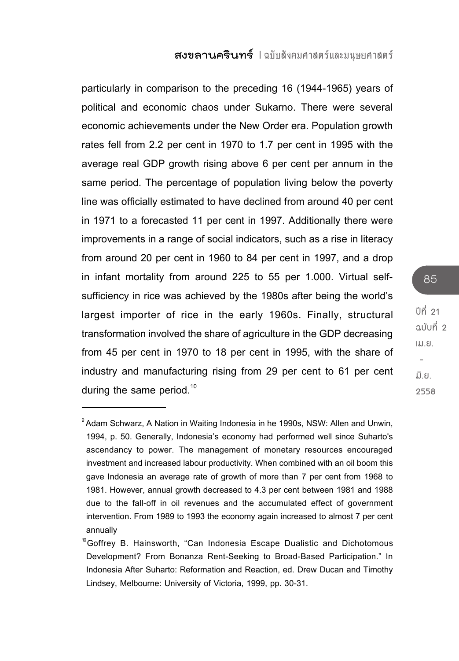particularly in comparison to the preceding 16 (1944-1965) years of political and economic chaos under Sukarno. There were several economic achievements under the New Order era. Population growth rates fell from 2.2 per cent in 1970 to 1.7 per cent in 1995 with the average real GDP growth rising above 6 per cent per annum in the same period. The percentage of population living below the poverty line was officially estimated to have declined from around 40 per cent in 1971 to a forecasted 11 per cent in 1997. Additionally there were improvements in a range of social indicators, such as a rise in literacy from around 20 per cent in 1960 to 84 per cent in 1997, and a drop in infant mortality from around 225 to 55 per 1.000. Virtual selfsufficiency in rice was achieved by the 1980s after being the world's largest importer of rice in the early 1960s. Finally, structural transformation involved the share of agriculture in the GDP decreasing from 45 per cent in 1970 to 18 per cent in 1995, with the share of industry and manufacturing rising from 29 per cent to 61 per cent during the same period. $10$ 

**ปีที่ 21 ฉบับที่ 2 เม.ย. - มิ.ย. 2558**

<sup>9</sup> Adam Schwarz, A Nation in Waiting Indonesia in he 1990s, NSW: Allen and Unwin, 1994, p. 50. Generally, Indonesia's economy had performed well since Suharto's ascendancy to power. The management of monetary resources encouraged investment and increased labour productivity. When combined with an oil boom this gave Indonesia an average rate of growth of more than 7 per cent from 1968 to 1981. However, annual growth decreased to 4.3 per cent between 1981 and 1988 due to the fall-off in oil revenues and the accumulated effect of government intervention. From 1989 to 1993 the economy again increased to almost 7 per cent annually

<sup>&</sup>lt;sup>10</sup> Goffrey B. Hainsworth, "Can Indonesia Escape Dualistic and Dichotomous Development? From Bonanza Rent-Seeking to Broad-Based Participation." In Indonesia After Suharto: Reformation and Reaction, ed. Drew Ducan and Timothy Lindsey, Melbourne: University of Victoria, 1999, pp. 30-31.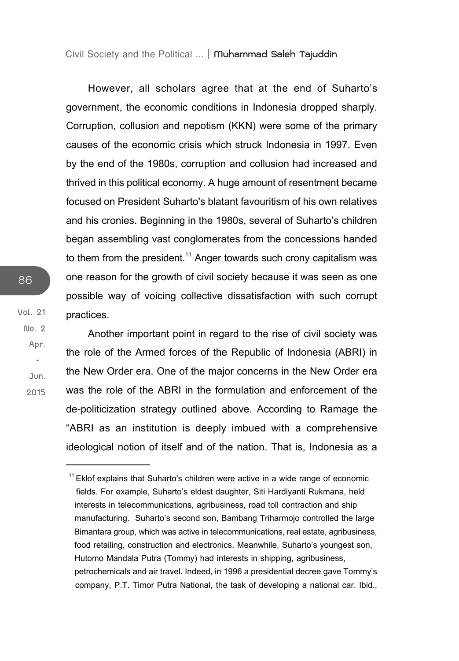However, all scholars agree that at the end of Suharto's government, the economic conditions in Indonesia dropped sharply. Corruption, collusion and nepotism (KKN) were some of the primary causes of the economic crisis which struck Indonesia in 1997. Even by the end of the 1980s, corruption and collusion had increased and thrived in this political economy. A huge amount of resentment became focused on President Suharto's blatant favouritism of his own relatives and his cronies. Beginning in the 1980s, several of Suharto's children began assembling vast conglomerates from the concessions handed to them from the president.<sup>11</sup> Anger towards such crony capitalism was one reason for the growth of civil society because it was seen as one possible way of voicing collective dissatisfaction with such corrupt practices.

Another important point in regard to the rise of civil society was the role of the Armed forces of the Republic of Indonesia (ABRI) in the New Order era. One of the major concerns in the New Order era was the role of the ABRI in the formulation and enforcement of the de-politicization strategy outlined above. According to Ramage the "ABRI as an institution is deeply imbued with a comprehensive ideological notion of itself and of the nation. That is, Indonesia as a

**Vol. 21 No. 2 Apr. - Jun. 2015**

 $11$  Eklof explains that Suharto's children were active in a wide range of economic fields. For example, Suharto's eldest daughter, Siti Hardiyanti Rukmana, held interests in telecommunications, agribusiness, road toll contraction and ship manufacturing. Suharto's second son, Bambang Triharmojo controlled the large Bimantara group, which was active in telecommunications, real estate, agribusiness, food retailing, construction and electronics. Meanwhile, Suharto's youngest son, Hutomo Mandala Putra (Tommy) had interests in shipping, agribusiness, petrochemicals and air travel. Indeed, in 1996 a presidential decree gave Tommy's company, P.T. Timor Putra National, the task of developing a national car. Ibid.,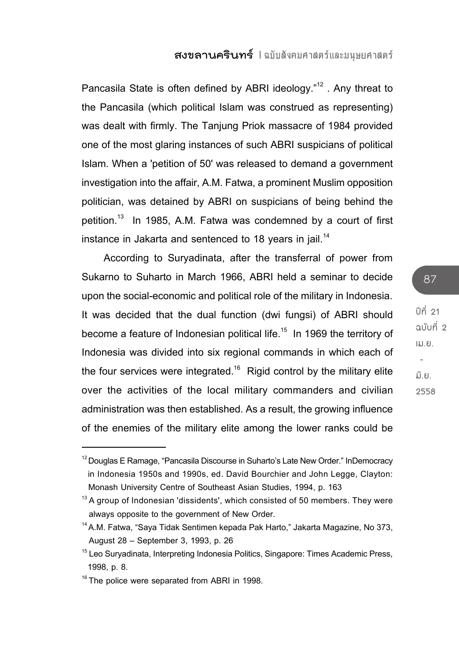Pancasila State is often defined by ABRI ideology."<sup>12</sup>. Any threat to the Pancasila (which political Islam was construed as representing) was dealt with firmly. The Tanjung Priok massacre of 1984 provided one of the most glaring instances of such ABRI suspicians of political Islam. When a 'petition of 50' was released to demand a government investigation into the affair, A.M. Fatwa, a prominent Muslim opposition politician, was detained by ABRI on suspicians of being behind the petition.<sup>13</sup> In 1985, A.M. Fatwa was condemned by a court of first instance in Jakarta and sentenced to 18 years in jail.<sup>14</sup>

According to Suryadinata, after the transferral of power from Sukarno to Suharto in March 1966, ABRI held a seminar to decide upon the social-economic and political role of the military in Indonesia. It was decided that the dual function (dwi fungsi) of ABRI should become a feature of Indonesian political life.<sup>15</sup> In 1969 the territory of Indonesia was divided into six regional commands in which each of the four services were integrated.<sup>16</sup> Rigid control by the military elite over the activities of the local military commanders and civilian administration was then established. As a result, the growing influence of the enemies of the military elite among the lower ranks could be

**ปีที่ 21 ฉบับที่ 2 เม.ย. -**

**มิ.ย. 2558**

<sup>&</sup>lt;sup>12</sup> Douglas E Ramage, "Pancasila Discourse in Suharto's Late New Order." InDemocracy in Indonesia 1950s and 1990s, ed. David Bourchier and John Legge, Clayton: Monash University Centre of Southeast Asian Studies, 1994, p. 163

 $13$  A group of Indonesian 'dissidents', which consisted of 50 members. They were always opposite to the government of New Order.

<sup>&</sup>lt;sup>14</sup> A.M. Fatwa, "Saya Tidak Sentimen kepada Pak Harto," Jakarta Magazine, No 373, August 28 – September 3, 1993, p. 26

<sup>&</sup>lt;sup>15</sup> Leo Survadinata, Interpreting Indonesia Politics, Singapore: Times Academic Press, 1998, p. 8.

 $16$  The police were separated from ABRI in 1998.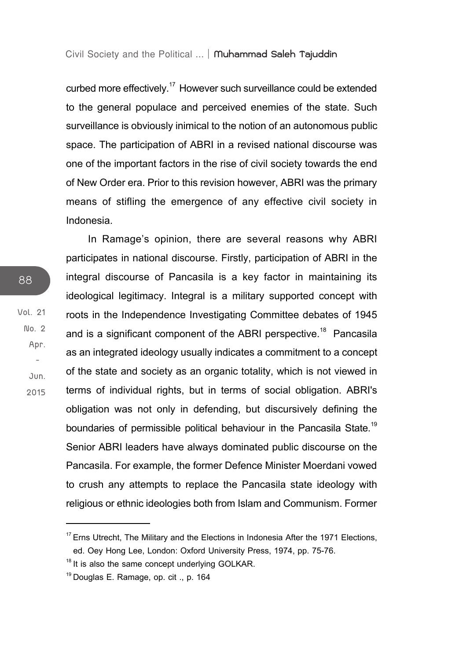curbed more effectively.<sup>17</sup> However such surveillance could be extended to the general populace and perceived enemies of the state. Such surveillance is obviously inimical to the notion of an autonomous public space. The participation of ABRI in a revised national discourse was one of the important factors in the rise of civil society towards the end of New Order era. Prior to this revision however, ABRI was the primary means of stifling the emergence of any effective civil society in Indonesia.

In Ramage's opinion, there are several reasons why ABRI participates in national discourse. Firstly, participation of ABRI in the integral discourse of Pancasila is a key factor in maintaining its ideological legitimacy. Integral is a military supported concept with roots in the Independence Investigating Committee debates of 1945 and is a significant component of the ABRI perspective.<sup>18</sup> Pancasila as an integrated ideology usually indicates a commitment to a concept of the state and society as an organic totality, which is not viewed in terms of individual rights, but in terms of social obligation. ABRI's obligation was not only in defending, but discursively defining the boundaries of permissible political behaviour in the Pancasila State.<sup>19</sup> Senior ABRI leaders have always dominated public discourse on the Pancasila. For example, the former Defence Minister Moerdani vowed to crush any attempts to replace the Pancasila state ideology with religious or ethnic ideologies both from Islam and Communism. Former

**Vol. 21 No. 2 Apr. - Jun. 2015**

 $17$  Erns Utrecht, The Military and the Elections in Indonesia After the 1971 Elections, ed. Oey Hong Lee, London: Oxford University Press, 1974, pp. 75-76.

<sup>&</sup>lt;sup>18</sup> It is also the same concept underlying GOLKAR.

<sup>&</sup>lt;sup>19</sup> Douglas E. Ramage, op. cit ., p. 164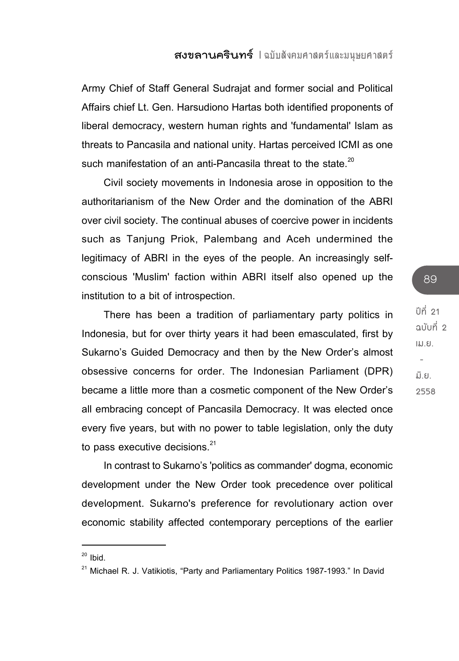Army Chief of Staff General Sudrajat and former social and Political Affairs chief Lt. Gen. Harsudiono Hartas both identified proponents of liberal democracy, western human rights and 'fundamental' Islam as threats to Pancasila and national unity. Hartas perceived ICMI as one such manifestation of an anti-Pancasila threat to the state.<sup>20</sup>

Civil society movements in Indonesia arose in opposition to the authoritarianism of the New Order and the domination of the ABRI over civil society. The continual abuses of coercive power in incidents such as Tanjung Priok, Palembang and Aceh undermined the legitimacy of ABRI in the eyes of the people. An increasingly selfconscious 'Muslim' faction within ABRI itself also opened up the institution to a bit of introspection.

There has been a tradition of parliamentary party politics in Indonesia, but for over thirty years it had been emasculated, first by Sukarno's Guided Democracy and then by the New Order's almost obsessive concerns for order. The Indonesian Parliament (DPR) became a little more than a cosmetic component of the New Order's all embracing concept of Pancasila Democracy. It was elected once every five years, but with no power to table legislation, only the duty to pass executive decisions. $21$ 

In contrast to Sukarno's 'politics as commander' dogma, economic development under the New Order took precedence over political development. Sukarno's preference for revolutionary action over economic stability affected contemporary perceptions of the earlier

**ปีที่ 21 ฉบับที่ 2 เม.ย.**

89

 **-**

 $20$  Ihid.

<sup>&</sup>lt;sup>21</sup> Michael R. J. Vatikiotis. "Party and Parliamentary Politics 1987-1993." In David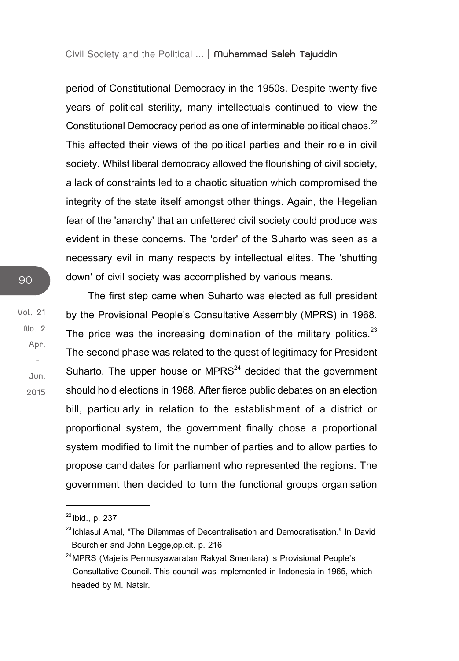period of Constitutional Democracy in the 1950s. Despite twenty-five years of political sterility, many intellectuals continued to view the Constitutional Democracy period as one of interminable political chaos.<sup>22</sup> This affected their views of the political parties and their role in civil society. Whilst liberal democracy allowed the flourishing of civil society, a lack of constraints led to a chaotic situation which compromised the integrity of the state itself amongst other things. Again, the Hegelian fear of the 'anarchy' that an unfettered civil society could produce was evident in these concerns. The 'order' of the Suharto was seen as a necessary evil in many respects by intellectual elites. The 'shutting down' of civil society was accomplished by various means.

The first step came when Suharto was elected as full president by the Provisional People's Consultative Assembly (MPRS) in 1968. The price was the increasing domination of the military politics. $^{23}$ The second phase was related to the quest of legitimacy for President Suharto. The upper house or MPRS $^{24}$  decided that the government should hold elections in 1968. After fierce public debates on an election bill, particularly in relation to the establishment of a district or proportional system, the government finally chose a proportional system modified to limit the number of parties and to allow parties to propose candidates for parliament who represented the regions. The government then decided to turn the functional groups organisation

**No. 2 Apr. - Jun. 2015**

**Vol. 21**

 $^{22}$  Ibid., p. 237

 $23$  Ichlasul Amal, "The Dilemmas of Decentralisation and Democratisation." In David Bourchier and John Legge,op.cit. p. 216

<sup>&</sup>lt;sup>24</sup> MPRS (Majelis Permusyawaratan Rakyat Smentara) is Provisional People's Consultative Council. This council was implemented in Indonesia in 1965, which headed by M. Natsir.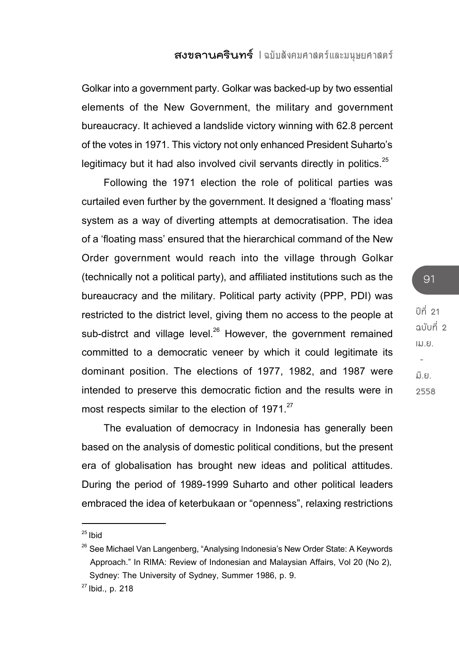91

**ปีที่ 21 ฉบับที่ 2 เม.ย. - มิ.ย. 2558**

Golkar into a government party. Golkar was backed-up by two essential elements of the New Government, the military and government bureaucracy. It achieved a landslide victory winning with 62.8 percent of the votes in 1971. This victory not only enhanced President Suharto's legitimacy but it had also involved civil servants directly in politics. $25$ 

Following the 1971 election the role of political parties was curtailed even further by the government. It designed a 'floating mass' system as a way of diverting attempts at democratisation. The idea of a 'floating mass' ensured that the hierarchical command of the New Order government would reach into the village through Golkar (technically not a political party), and affiliated institutions such as the bureaucracy and the military. Political party activity (PPP, PDI) was restricted to the district level, giving them no access to the people at sub-distrct and village level. $^{26}$  However, the government remained committed to a democratic veneer by which it could legitimate its dominant position. The elections of 1977, 1982, and 1987 were intended to preserve this democratic fiction and the results were in most respects similar to the election of 1971.<sup>27</sup>

The evaluation of democracy in Indonesia has generally been based on the analysis of domestic political conditions, but the present era of globalisation has brought new ideas and political attitudes. During the period of 1989-1999 Suharto and other political leaders embraced the idea of keterbukaan or "openness", relaxing restrictions

 $25$  Ibid

<sup>&</sup>lt;sup>26</sup> See Michael Van Langenberg, "Analysing Indonesia's New Order State: A Keywords Approach." In RIMA: Review of Indonesian and Malaysian Affairs, Vol 20 (No 2), Sydney: The University of Sydney, Summer 1986, p. 9.

 $27$  Ibid., p. 218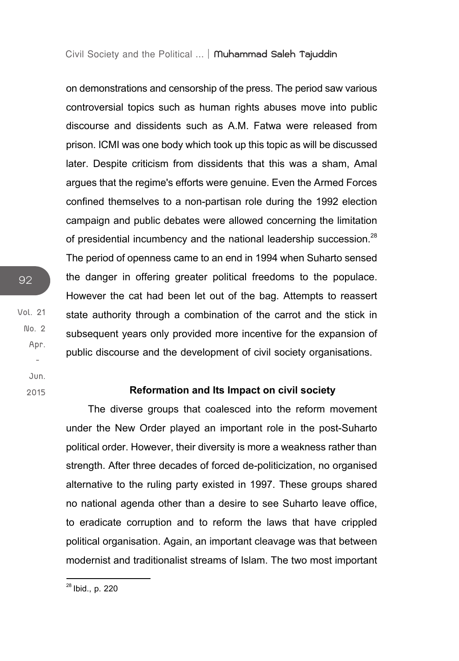on demonstrations and censorship of the press. The period saw various controversial topics such as human rights abuses move into public discourse and dissidents such as A.M. Fatwa were released from prison. ICMI was one body which took up this topic as will be discussed later. Despite criticism from dissidents that this was a sham, Amal argues that the regime's efforts were genuine. Even the Armed Forces confined themselves to a non-partisan role during the 1992 election campaign and public debates were allowed concerning the limitation of presidential incumbency and the national leadership succession.<sup>28</sup> The period of openness came to an end in 1994 when Suharto sensed the danger in offering greater political freedoms to the populace. However the cat had been let out of the bag. Attempts to reassert state authority through a combination of the carrot and the stick in subsequent years only provided more incentive for the expansion of public discourse and the development of civil society organisations.

 **Jun. 2015**

92

**Vol. 21 No. 2 Apr. -** 

# **Reformation and Its Impact on civil society**

The diverse groups that coalesced into the reform movement under the New Order played an important role in the post-Suharto political order. However, their diversity is more a weakness rather than strength. After three decades of forced de-politicization, no organised alternative to the ruling party existed in 1997. These groups shared no national agenda other than a desire to see Suharto leave office, to eradicate corruption and to reform the laws that have crippled political organisation. Again, an important cleavage was that between modernist and traditionalist streams of Islam. The two most important

<sup>28</sup> Ibid., p. 220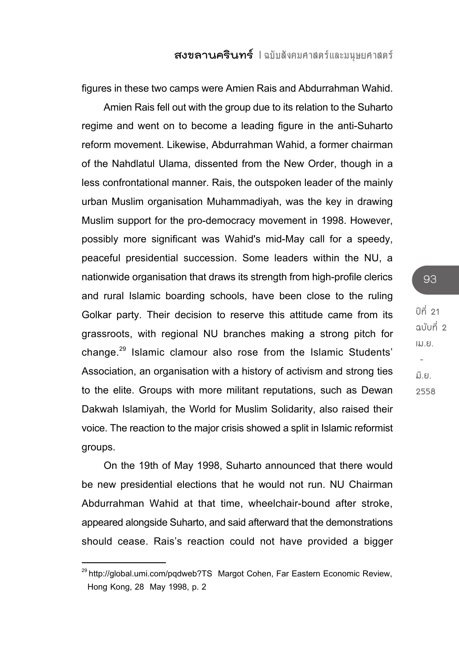figures in these two camps were Amien Rais and Abdurrahman Wahid.

Amien Rais fell out with the group due to its relation to the Suharto regime and went on to become a leading figure in the anti-Suharto reform movement. Likewise, Abdurrahman Wahid, a former chairman of the Nahdlatul Ulama, dissented from the New Order, though in a less confrontational manner. Rais, the outspoken leader of the mainly urban Muslim organisation Muhammadiyah, was the key in drawing Muslim support for the pro-democracy movement in 1998. However, possibly more significant was Wahid's mid-May call for a speedy, peaceful presidential succession. Some leaders within the NU, a nationwide organisation that draws its strength from high-profile clerics and rural Islamic boarding schools, have been close to the ruling Golkar party. Their decision to reserve this attitude came from its grassroots, with regional NU branches making a strong pitch for change.29 Islamic clamour also rose from the Islamic Students' Association, an organisation with a history of activism and strong ties to the elite. Groups with more militant reputations, such as Dewan Dakwah Islamiyah, the World for Muslim Solidarity, also raised their voice. The reaction to the major crisis showed a split in Islamic reformist groups.

On the 19th of May 1998, Suharto announced that there would be new presidential elections that he would not run. NU Chairman Abdurrahman Wahid at that time, wheelchair-bound after stroke, appeared alongside Suharto, and said afterward that the demonstrations should cease. Rais's reaction could not have provided a bigger

**ปีที่ 21 ฉบับที่ 2 เม.ย. - มิ.ย. 2558**

<sup>&</sup>lt;sup>29</sup> http://qlobal.umi.com/pqdweb?TS Margot Cohen, Far Eastern Economic Review, Hong Kong, 28 May 1998, p. 2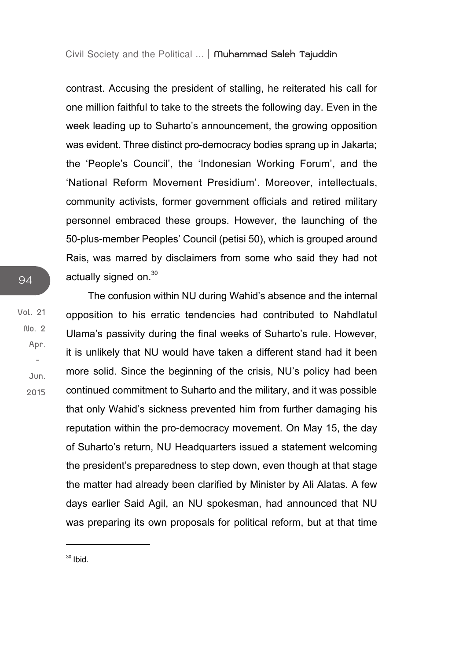contrast. Accusing the president of stalling, he reiterated his call for one million faithful to take to the streets the following day. Even in the week leading up to Suharto's announcement, the growing opposition was evident. Three distinct pro-democracy bodies sprang up in Jakarta; the 'People's Council', the 'Indonesian Working Forum', and the 'National Reform Movement Presidium'. Moreover, intellectuals, community activists, former government officials and retired military personnel embraced these groups. However, the launching of the 50-plus-member Peoples' Council (petisi 50), which is grouped around Rais, was marred by disclaimers from some who said they had not actually signed on. $30$ 

The confusion within NU during Wahid's absence and the internal opposition to his erratic tendencies had contributed to Nahdlatul Ulama's passivity during the final weeks of Suharto's rule. However, it is unlikely that NU would have taken a different stand had it been more solid. Since the beginning of the crisis, NU's policy had been continued commitment to Suharto and the military, and it was possible that only Wahid's sickness prevented him from further damaging his reputation within the pro-democracy movement. On May 15, the day of Suharto's return, NU Headquarters issued a statement welcoming the president's preparedness to step down, even though at that stage the matter had already been clarified by Minister by Ali Alatas. A few days earlier Said Agil, an NU spokesman, had announced that NU was preparing its own proposals for political reform, but at that time

94

**Vol. 21 No. 2 Apr. - Jun. 2015**

 $30$  Ibid.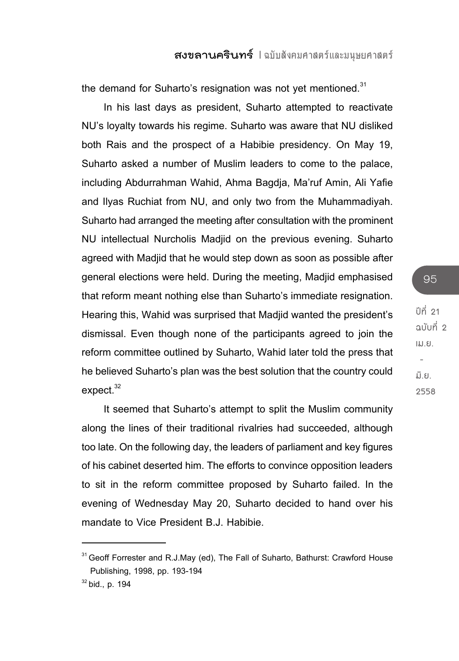the demand for Suharto's resignation was not yet mentioned. $31$ 

In his last days as president, Suharto attempted to reactivate NU's loyalty towards his regime. Suharto was aware that NU disliked both Rais and the prospect of a Habibie presidency. On May 19, Suharto asked a number of Muslim leaders to come to the palace, including Abdurrahman Wahid, Ahma Bagdja, Ma'ruf Amin, Ali Yafie and Ilyas Ruchiat from NU, and only two from the Muhammadiyah. Suharto had arranged the meeting after consultation with the prominent NU intellectual Nurcholis Madjid on the previous evening. Suharto agreed with Madjid that he would step down as soon as possible after general elections were held. During the meeting, Madjid emphasised that reform meant nothing else than Suharto's immediate resignation. Hearing this, Wahid was surprised that Madjid wanted the president's dismissal. Even though none of the participants agreed to join the reform committee outlined by Suharto, Wahid later told the press that he believed Suharto's plan was the best solution that the country could  $expect.<sup>32</sup>$ 

It seemed that Suharto's attempt to split the Muslim community along the lines of their traditional rivalries had succeeded, although too late. On the following day, the leaders of parliament and key figures of his cabinet deserted him. The efforts to convince opposition leaders to sit in the reform committee proposed by Suharto failed. In the evening of Wednesday May 20, Suharto decided to hand over his mandate to Vice President B.J. Habibie.

95

**ปีที่ 21 ฉบับที่ 2 เม.ย. - มิ.ย. 2558**

<sup>&</sup>lt;sup>31</sup> Geoff Forrester and R.J.Mav (ed), The Fall of Suharto, Bathurst: Crawford House Publishing, 1998, pp. 193-194

 $32$  bid., p. 194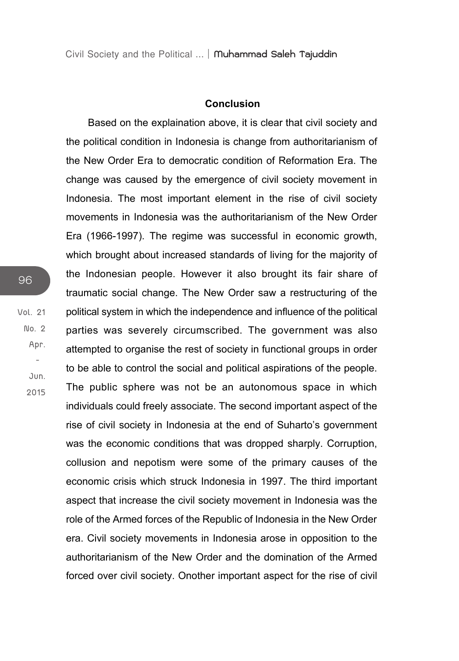# **Conclusion**

Based on the explaination above, it is clear that civil society and the political condition in Indonesia is change from authoritarianism of the New Order Era to democratic condition of Reformation Era. The change was caused by the emergence of civil society movement in Indonesia. The most important element in the rise of civil society movements in Indonesia was the authoritarianism of the New Order Era (1966-1997). The regime was successful in economic growth, which brought about increased standards of living for the majority of the Indonesian people. However it also brought its fair share of traumatic social change. The New Order saw a restructuring of the political system in which the independence and influence of the political parties was severely circumscribed. The government was also attempted to organise the rest of society in functional groups in order to be able to control the social and political aspirations of the people. The public sphere was not be an autonomous space in which individuals could freely associate. The second important aspect of the rise of civil society in Indonesia at the end of Suharto's government was the economic conditions that was dropped sharply. Corruption, collusion and nepotism were some of the primary causes of the economic crisis which struck Indonesia in 1997. The third important aspect that increase the civil society movement in Indonesia was the role of the Armed forces of the Republic of Indonesia in the New Order era. Civil society movements in Indonesia arose in opposition to the authoritarianism of the New Order and the domination of the Armed forced over civil society. Onother important aspect for the rise of civil

**No. 2 Apr. - Jun. 2015**

**Vol. 21**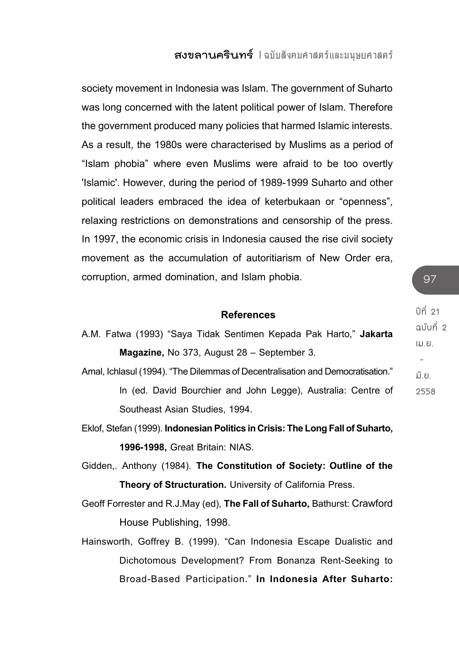society movement in Indonesia was Islam. The government of Suharto was long concerned with the latent political power of Islam. Therefore the government produced many policies that harmed Islamic interests. As a result, the 1980s were characterised by Muslims as a period of "Islam phobia" where even Muslims were afraid to be too overtly 'Islamic'. However, during the period of 1989-1999 Suharto and other political leaders embraced the idea of keterbukaan or "openness", relaxing restrictions on demonstrations and censorship of the press. In 1997, the economic crisis in Indonesia caused the rise civil society movement as the accumulation of autoritiarism of New Order era, corruption, armed domination, and Islam phobia.

## **References**

- A.M. Fatwa (1993) "Saya Tidak Sentimen Kepada Pak Harto," **Jakarta Magazine,** No 373, August 28 – September 3.
- Amal, Ichlasul (1994). "The Dilemmas of Decentralisation and Democratisation." In (ed. David Bourchier and John Legge), Australia: Centre of Southeast Asian Studies, 1994.
- Eklof, Stefan (1999). **Indonesian Politics in Crisis: The Long Fall of Suharto, 1996-1998,** Great Britain: NIAS.
- Gidden,. Anthony (1984). **The Constitution of Society: Outline of the Theory of Structuration.** University of California Press.
- Geoff Forrester and R.J.May (ed), **The Fall of Suharto,** Bathurst: Crawford House Publishing, 1998.
- Hainsworth, Goffrey B. (1999). "Can Indonesia Escape Dualistic and Dichotomous Development? From Bonanza Rent-Seeking to Broad-Based Participation." **In Indonesia After Suharto:**

### 97

**ปีที่ 21 ฉบับที่ 2 เม.ย. - มิ.ย. 2558**